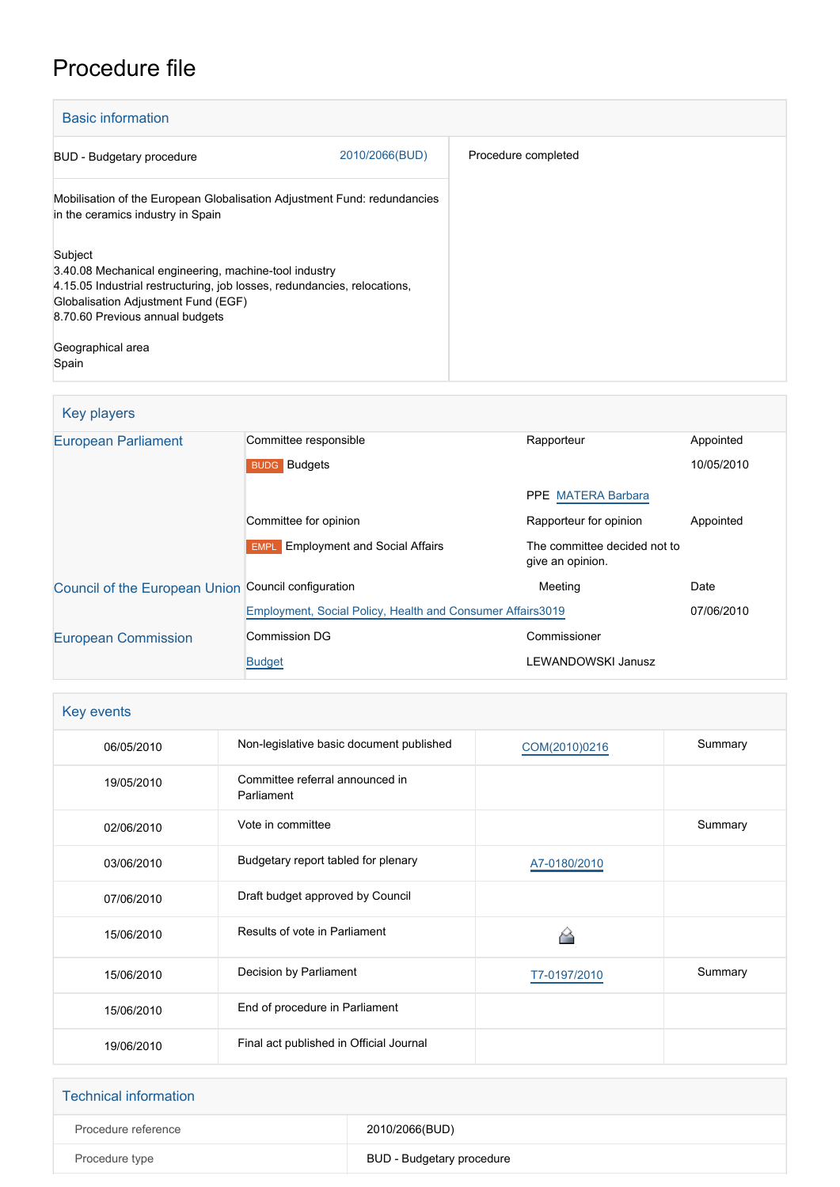# Procedure file

| <b>Basic information</b>                                                                                                                                                                                               |                |                     |
|------------------------------------------------------------------------------------------------------------------------------------------------------------------------------------------------------------------------|----------------|---------------------|
| <b>BUD</b> - Budgetary procedure                                                                                                                                                                                       | 2010/2066(BUD) | Procedure completed |
| Mobilisation of the European Globalisation Adjustment Fund: redundancies<br>in the ceramics industry in Spain                                                                                                          |                |                     |
| Subject<br>3.40.08 Mechanical engineering, machine-tool industry<br>4.15.05 Industrial restructuring, job losses, redundancies, relocations,<br>Globalisation Adjustment Fund (EGF)<br>8.70.60 Previous annual budgets |                |                     |
| Geographical area<br>Spain                                                                                                                                                                                             |                |                     |

## Key players

| <b>European Parliament</b>                          | Committee responsible                                       | Rapporteur                                       | Appointed  |
|-----------------------------------------------------|-------------------------------------------------------------|--------------------------------------------------|------------|
|                                                     | <b>BUDG</b> Budgets                                         |                                                  | 10/05/2010 |
|                                                     |                                                             | <b>PPE MATERA Barbara</b>                        |            |
|                                                     | Committee for opinion                                       | Rapporteur for opinion                           | Appointed  |
|                                                     | <b>Employment and Social Affairs</b><br><b>EMPL</b>         | The committee decided not to<br>give an opinion. |            |
| Council of the European Union Council configuration |                                                             | Meeting                                          | Date       |
|                                                     | Employment, Social Policy, Health and Consumer Affairs 3019 |                                                  | 07/06/2010 |
| <b>European Commission</b>                          | <b>Commission DG</b>                                        | Commissioner                                     |            |
|                                                     | <b>Budget</b>                                               | LEWANDOWSKI Janusz                               |            |

| Key events |                                               |               |         |
|------------|-----------------------------------------------|---------------|---------|
| 06/05/2010 | Non-legislative basic document published      | COM(2010)0216 | Summary |
| 19/05/2010 | Committee referral announced in<br>Parliament |               |         |
| 02/06/2010 | Vote in committee                             |               | Summary |
| 03/06/2010 | Budgetary report tabled for plenary           | A7-0180/2010  |         |
| 07/06/2010 | Draft budget approved by Council              |               |         |
| 15/06/2010 | Results of vote in Parliament                 |               |         |
| 15/06/2010 | Decision by Parliament                        | T7-0197/2010  | Summary |
| 15/06/2010 | End of procedure in Parliament                |               |         |
| 19/06/2010 | Final act published in Official Journal       |               |         |

| <b>Technical information</b> |                           |
|------------------------------|---------------------------|
| Procedure reference          | 2010/2066(BUD)            |
| Procedure type               | BUD - Budgetary procedure |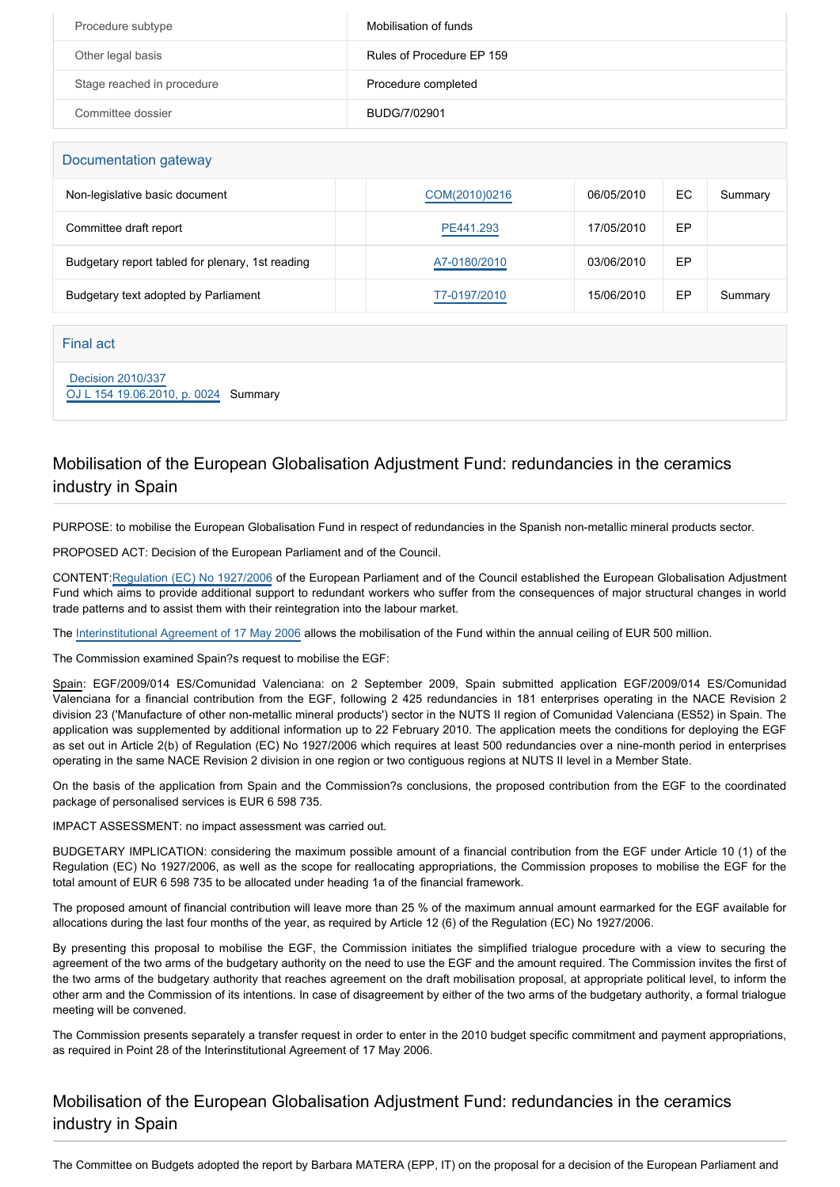| Procedure subtype          | Mobilisation of funds     |
|----------------------------|---------------------------|
| Other legal basis          | Rules of Procedure EP 159 |
| Stage reached in procedure | Procedure completed       |
| Committee dossier          | BUDG/7/02901              |

| Documentation gateway                            |               |            |    |         |
|--------------------------------------------------|---------------|------------|----|---------|
| Non-legislative basic document                   | COM(2010)0216 | 06/05/2010 | ЕC | Summary |
| Committee draft report                           | PE441.293     | 17/05/2010 | EР |         |
| Budgetary report tabled for plenary, 1st reading | A7-0180/2010  | 03/06/2010 | EP |         |
| Budgetary text adopted by Parliament             | T7-0197/2010  | 15/06/2010 | ЕP | Summary |

#### Final act

 [Decision 2010/337](https://eur-lex.europa.eu/smartapi/cgi/sga_doc?smartapi!celexplus!prod!CELEXnumdoc&lg=EN&numdoc=32010D0337) [OJ L 154 19.06.2010, p. 0024](https://eur-lex.europa.eu/LexUriServ/LexUriServ.do?uri=OJ:L:2010:154:0024:0024:EN:PDF) Summary

### Mobilisation of the European Globalisation Adjustment Fund: redundancies in the ceramics industry in Spain

PURPOSE: to mobilise the European Globalisation Fund in respect of redundancies in the Spanish non-metallic mineral products sector.

PROPOSED ACT: Decision of the European Parliament and of the Council.

CONTENT:[Regulation \(EC\) No 1927/2006](http://www.europarl.europa.eu/oeil/FindByProcnum.do?lang=en&procnum=COD/2006/0033) of the European Parliament and of the Council established the European Globalisation Adjustment Fund which aims to provide additional support to redundant workers who suffer from the consequences of major structural changes in world trade patterns and to assist them with their reintegration into the labour market.

The [Interinstitutional Agreement of 17 May 2006](http://www.europarl.europa.eu/oeil/FindByProcnum.do?lang=en&procnum=ACI/2004/2099) allows the mobilisation of the Fund within the annual ceiling of EUR 500 million.

The Commission examined Spain?s request to mobilise the EGF:

Spain: EGF/2009/014 ES/Comunidad Valenciana: on 2 September 2009, Spain submitted application EGF/2009/014 ES/Comunidad Valenciana for a financial contribution from the EGF, following 2 425 redundancies in 181 enterprises operating in the NACE Revision 2 division 23 ('Manufacture of other non-metallic mineral products') sector in the NUTS II region of Comunidad Valenciana (ES52) in Spain. The application was supplemented by additional information up to 22 February 2010. The application meets the conditions for deploying the EGF as set out in Article 2(b) of Regulation (EC) No 1927/2006 which requires at least 500 redundancies over a nine-month period in enterprises operating in the same NACE Revision 2 division in one region or two contiguous regions at NUTS II level in a Member State.

On the basis of the application from Spain and the Commission?s conclusions, the proposed contribution from the EGF to the coordinated package of personalised services is EUR 6 598 735.

IMPACT ASSESSMENT: no impact assessment was carried out.

BUDGETARY IMPLICATION: considering the maximum possible amount of a financial contribution from the EGF under Article 10 (1) of the Regulation (EC) No 1927/2006, as well as the scope for reallocating appropriations, the Commission proposes to mobilise the EGF for the total amount of EUR 6 598 735 to be allocated under heading 1a of the financial framework.

The proposed amount of financial contribution will leave more than 25 % of the maximum annual amount earmarked for the EGF available for allocations during the last four months of the year, as required by Article 12 (6) of the Regulation (EC) No 1927/2006.

By presenting this proposal to mobilise the EGF, the Commission initiates the simplified trialogue procedure with a view to securing the agreement of the two arms of the budgetary authority on the need to use the EGF and the amount required. The Commission invites the first of the two arms of the budgetary authority that reaches agreement on the draft mobilisation proposal, at appropriate political level, to inform the other arm and the Commission of its intentions. In case of disagreement by either of the two arms of the budgetary authority, a formal trialogue meeting will be convened.

The Commission presents separately a transfer request in order to enter in the 2010 budget specific commitment and payment appropriations, as required in Point 28 of the Interinstitutional Agreement of 17 May 2006.

#### Mobilisation of the European Globalisation Adjustment Fund: redundancies in the ceramics industry in Spain

The Committee on Budgets adopted the report by Barbara MATERA (EPP, IT) on the proposal for a decision of the European Parliament and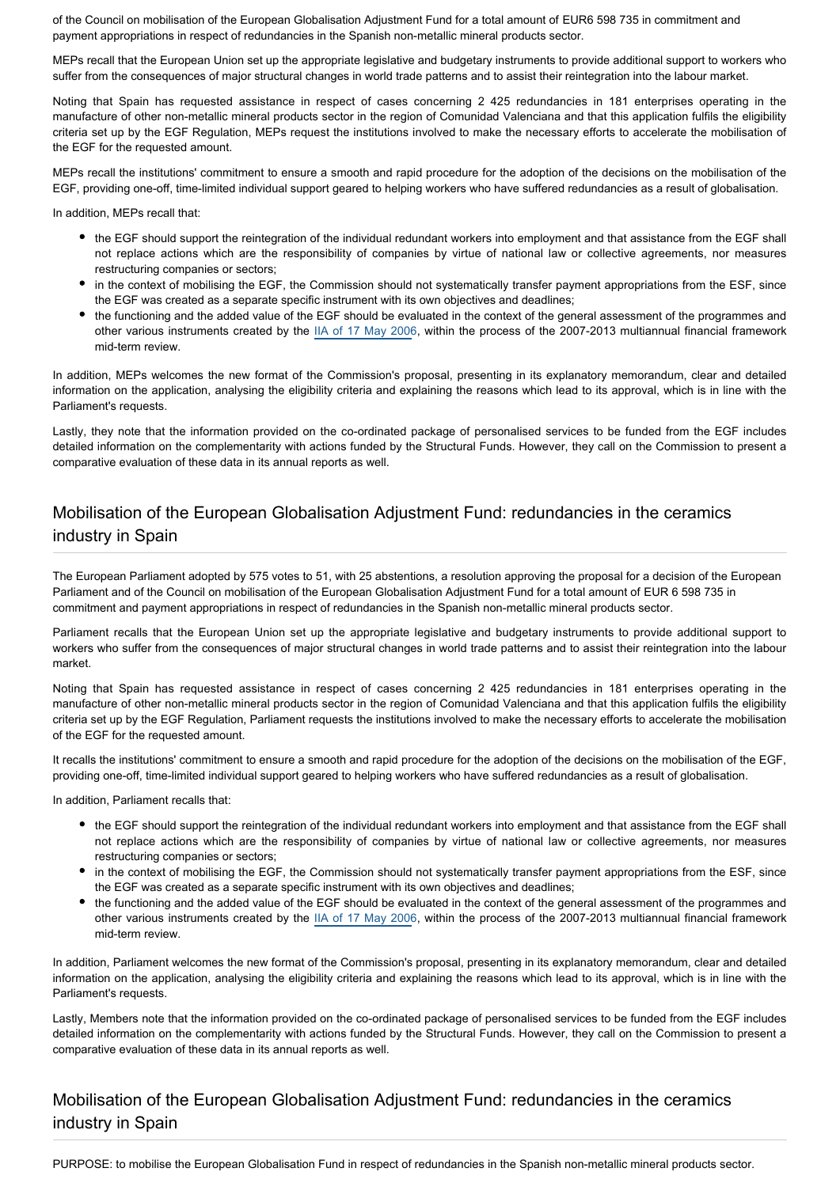of the Council on mobilisation of the European Globalisation Adjustment Fund for a total amount of EUR6 598 735 in commitment and payment appropriations in respect of redundancies in the Spanish non-metallic mineral products sector.

MEPs recall that the European Union set up the appropriate legislative and budgetary instruments to provide additional support to workers who suffer from the consequences of major structural changes in world trade patterns and to assist their reintegration into the labour market.

Noting that Spain has requested assistance in respect of cases concerning 2 425 redundancies in 181 enterprises operating in the manufacture of other non-metallic mineral products sector in the region of Comunidad Valenciana and that this application fulfils the eligibility criteria set up by the EGF Regulation, MEPs request the institutions involved to make the necessary efforts to accelerate the mobilisation of the EGF for the requested amount.

MEPs recall the institutions' commitment to ensure a smooth and rapid procedure for the adoption of the decisions on the mobilisation of the EGF, providing one-off, time-limited individual support geared to helping workers who have suffered redundancies as a result of globalisation.

In addition, MEPs recall that:

- the EGF should support the reintegration of the individual redundant workers into employment and that assistance from the EGF shall not replace actions which are the responsibility of companies by virtue of national law or collective agreements, nor measures restructuring companies or sectors;
- in the context of mobilising the EGF, the Commission should not systematically transfer payment appropriations from the ESF, since the EGF was created as a separate specific instrument with its own objectives and deadlines;
- the functioning and the added value of the EGF should be evaluated in the context of the general assessment of the programmes and other various instruments created by the [IIA of 17 May 2006](http://www.europarl.europa.eu/oeil/FindByProcnum.do?lang=en&procnum=ACI/2004/2099), within the process of the 2007-2013 multiannual financial framework mid-term review.

In addition, MEPs welcomes the new format of the Commission's proposal, presenting in its explanatory memorandum, clear and detailed information on the application, analysing the eligibility criteria and explaining the reasons which lead to its approval, which is in line with the Parliament's requests.

Lastly, they note that the information provided on the co-ordinated package of personalised services to be funded from the EGF includes detailed information on the complementarity with actions funded by the Structural Funds. However, they call on the Commission to present a comparative evaluation of these data in its annual reports as well.

#### Mobilisation of the European Globalisation Adjustment Fund: redundancies in the ceramics industry in Spain

The European Parliament adopted by 575 votes to 51, with 25 abstentions, a resolution approving the proposal for a decision of the European Parliament and of the Council on mobilisation of the European Globalisation Adjustment Fund for a total amount of EUR 6 598 735 in commitment and payment appropriations in respect of redundancies in the Spanish non-metallic mineral products sector.

Parliament recalls that the European Union set up the appropriate legislative and budgetary instruments to provide additional support to workers who suffer from the consequences of major structural changes in world trade patterns and to assist their reintegration into the labour market.

Noting that Spain has requested assistance in respect of cases concerning 2 425 redundancies in 181 enterprises operating in the manufacture of other non-metallic mineral products sector in the region of Comunidad Valenciana and that this application fulfils the eligibility criteria set up by the EGF Regulation, Parliament requests the institutions involved to make the necessary efforts to accelerate the mobilisation of the EGF for the requested amount.

It recalls the institutions' commitment to ensure a smooth and rapid procedure for the adoption of the decisions on the mobilisation of the EGF, providing one-off, time-limited individual support geared to helping workers who have suffered redundancies as a result of globalisation.

In addition, Parliament recalls that:

- the EGF should support the reintegration of the individual redundant workers into employment and that assistance from the EGF shall not replace actions which are the responsibility of companies by virtue of national law or collective agreements, nor measures restructuring companies or sectors;
- in the context of mobilising the EGF, the Commission should not systematically transfer payment appropriations from the ESF, since the EGF was created as a separate specific instrument with its own objectives and deadlines;
- the functioning and the added value of the EGF should be evaluated in the context of the general assessment of the programmes and other various instruments created by the [IIA of 17 May 2006](http://www.europarl.europa.eu/oeil/FindByProcnum.do?lang=en&procnum=ACI/2004/2099), within the process of the 2007-2013 multiannual financial framework mid-term review.

In addition, Parliament welcomes the new format of the Commission's proposal, presenting in its explanatory memorandum, clear and detailed information on the application, analysing the eligibility criteria and explaining the reasons which lead to its approval, which is in line with the Parliament's requests.

Lastly, Members note that the information provided on the co-ordinated package of personalised services to be funded from the EGF includes detailed information on the complementarity with actions funded by the Structural Funds. However, they call on the Commission to present a comparative evaluation of these data in its annual reports as well.

#### Mobilisation of the European Globalisation Adjustment Fund: redundancies in the ceramics industry in Spain

PURPOSE: to mobilise the European Globalisation Fund in respect of redundancies in the Spanish non-metallic mineral products sector.